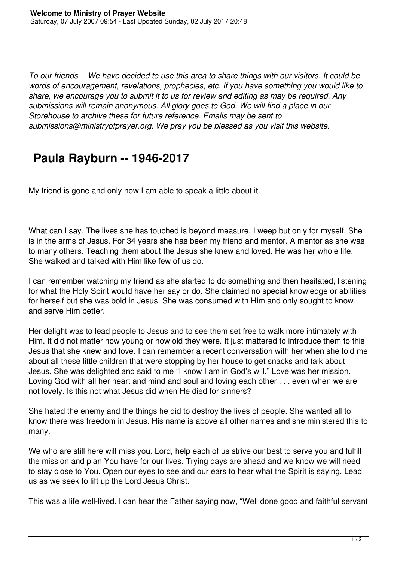*To our friends -- We have decided to use this area to share things with our visitors. It could be words of encouragement, revelations, prophecies, etc. If you have something you would like to share, we encourage you to submit it to us for review and editing as may be required. Any submissions will remain anonymous. All glory goes to God. We will find a place in our Storehouse to archive these for future reference. Emails may be sent to submissions@ministryofprayer.org. We pray you be blessed as you visit this website.*

## **Paula Rayburn -- 1946-2017**

My friend is gone and only now I am able to speak a little about it.

What can I say. The lives she has touched is beyond measure. I weep but only for myself. She is in the arms of Jesus. For 34 years she has been my friend and mentor. A mentor as she was to many others. Teaching them about the Jesus she knew and loved. He was her whole life. She walked and talked with Him like few of us do.

I can remember watching my friend as she started to do something and then hesitated, listening for what the Holy Spirit would have her say or do. She claimed no special knowledge or abilities for herself but she was bold in Jesus. She was consumed with Him and only sought to know and serve Him better.

Her delight was to lead people to Jesus and to see them set free to walk more intimately with Him. It did not matter how young or how old they were. It just mattered to introduce them to this Jesus that she knew and love. I can remember a recent conversation with her when she told me about all these little children that were stopping by her house to get snacks and talk about Jesus. She was delighted and said to me "I know I am in God's will." Love was her mission. Loving God with all her heart and mind and soul and loving each other . . . even when we are not lovely. Is this not what Jesus did when He died for sinners?

She hated the enemy and the things he did to destroy the lives of people. She wanted all to know there was freedom in Jesus. His name is above all other names and she ministered this to many.

We who are still here will miss you. Lord, help each of us strive our best to serve you and fulfill the mission and plan You have for our lives. Trying days are ahead and we know we will need to stay close to You. Open our eyes to see and our ears to hear what the Spirit is saying. Lead us as we seek to lift up the Lord Jesus Christ.

This was a life well-lived. I can hear the Father saying now, "Well done good and faithful servant